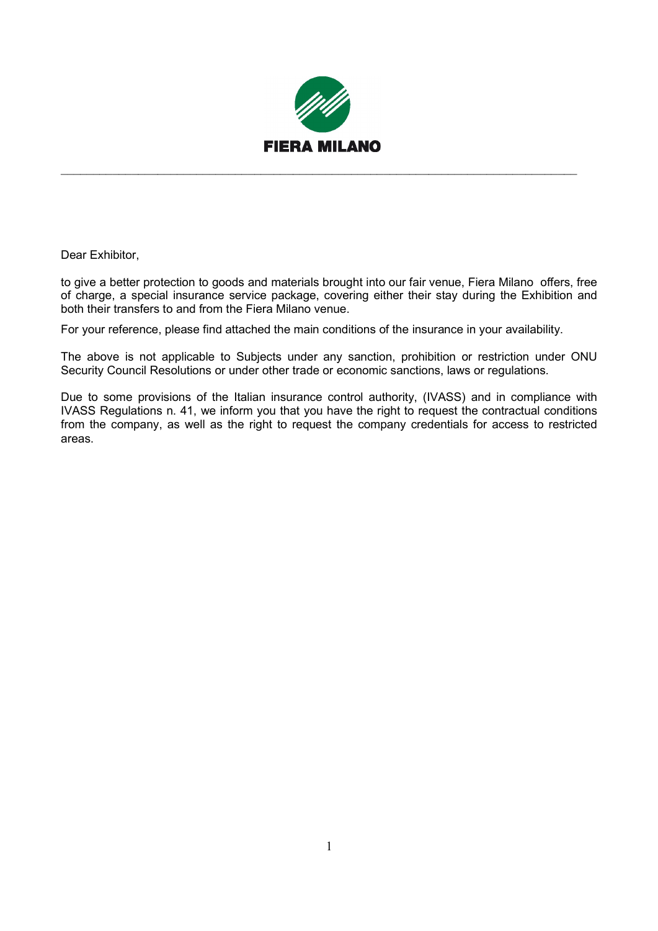

 $\_$  , and the contribution of the contribution of  $\mathcal{L}_\mathcal{A}$  , and the contribution of  $\mathcal{L}_\mathcal{A}$ 

Dear Exhibitor,

to give a better protection to goods and materials brought into our fair venue, Fiera Milano offers, free of charge, a special insurance service package, covering either their stay during the Exhibition and both their transfers to and from the Fiera Milano venue.

For your reference, please find attached the main conditions of the insurance in your availability.

The above is not applicable to Subjects under any sanction, prohibition or restriction under ONU Security Council Resolutions or under other trade or economic sanctions, laws or regulations.

Due to some provisions of the Italian insurance control authority, (IVASS) and in compliance with IVASS Regulations n. 41, we inform you that you have the right to request the contractual conditions from the company, as well as the right to request the company credentials for access to restricted areas.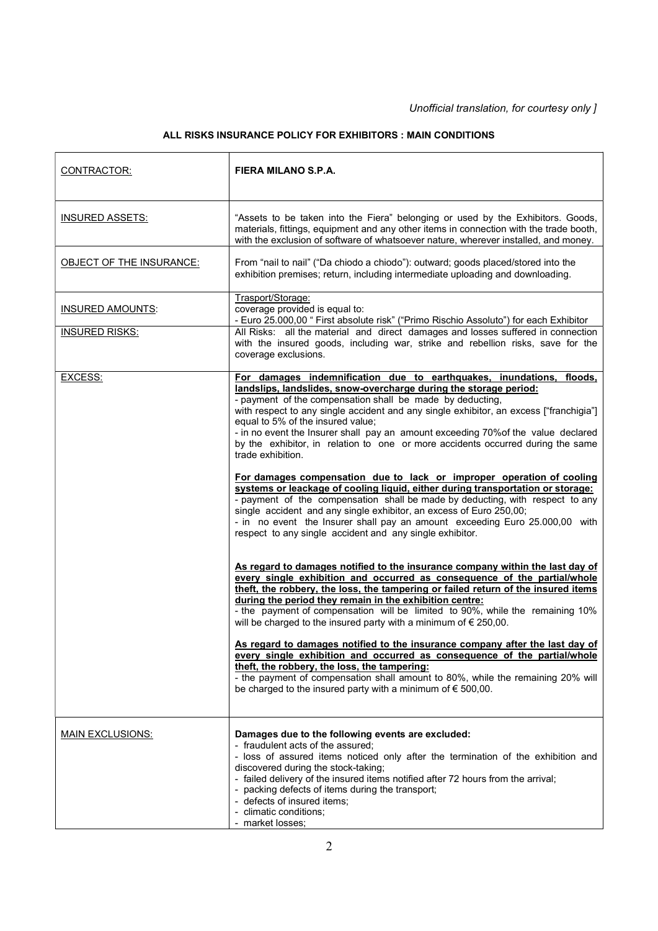## ALL RISKS INSURANCE POLICY FOR EXHIBITORS : MAIN CONDITIONS

| CONTRACTOR:              | FIERA MILANO S.P.A.                                                                                                                                                                                                                                                                                                                                                                                                                                                                                                                                                                                                                                                                                                                                                                                                                                                                                                                                                                                                                                                                                                                                                                                                                                                                                                                                                                                                                                                                                                                                                                                                                                                                                                                                                                                                                                 |
|--------------------------|-----------------------------------------------------------------------------------------------------------------------------------------------------------------------------------------------------------------------------------------------------------------------------------------------------------------------------------------------------------------------------------------------------------------------------------------------------------------------------------------------------------------------------------------------------------------------------------------------------------------------------------------------------------------------------------------------------------------------------------------------------------------------------------------------------------------------------------------------------------------------------------------------------------------------------------------------------------------------------------------------------------------------------------------------------------------------------------------------------------------------------------------------------------------------------------------------------------------------------------------------------------------------------------------------------------------------------------------------------------------------------------------------------------------------------------------------------------------------------------------------------------------------------------------------------------------------------------------------------------------------------------------------------------------------------------------------------------------------------------------------------------------------------------------------------------------------------------------------------|
| <b>INSURED ASSETS:</b>   | "Assets to be taken into the Fiera" belonging or used by the Exhibitors. Goods,<br>materials, fittings, equipment and any other items in connection with the trade booth,<br>with the exclusion of software of whatsoever nature, wherever installed, and money.                                                                                                                                                                                                                                                                                                                                                                                                                                                                                                                                                                                                                                                                                                                                                                                                                                                                                                                                                                                                                                                                                                                                                                                                                                                                                                                                                                                                                                                                                                                                                                                    |
| OBJECT OF THE INSURANCE: | From "nail to nail" ("Da chiodo a chiodo"): outward; goods placed/stored into the<br>exhibition premises; return, including intermediate uploading and downloading.                                                                                                                                                                                                                                                                                                                                                                                                                                                                                                                                                                                                                                                                                                                                                                                                                                                                                                                                                                                                                                                                                                                                                                                                                                                                                                                                                                                                                                                                                                                                                                                                                                                                                 |
| <b>INSURED AMOUNTS:</b>  | Trasport/Storage:<br>coverage provided is equal to:<br>- Euro 25.000,00 " First absolute risk" ("Primo Rischio Assoluto") for each Exhibitor                                                                                                                                                                                                                                                                                                                                                                                                                                                                                                                                                                                                                                                                                                                                                                                                                                                                                                                                                                                                                                                                                                                                                                                                                                                                                                                                                                                                                                                                                                                                                                                                                                                                                                        |
| <b>INSURED RISKS:</b>    | All Risks: all the material and direct damages and losses suffered in connection<br>with the insured goods, including war, strike and rebellion risks, save for the<br>coverage exclusions.                                                                                                                                                                                                                                                                                                                                                                                                                                                                                                                                                                                                                                                                                                                                                                                                                                                                                                                                                                                                                                                                                                                                                                                                                                                                                                                                                                                                                                                                                                                                                                                                                                                         |
| EXCESS:                  | For damages indemnification due to earthquakes, inundations, floods,<br>landslips, landslides, snow-overcharge during the storage period:<br>- payment of the compensation shall be made by deducting,<br>with respect to any single accident and any single exhibitor, an excess ["franchigia"]<br>equal to 5% of the insured value;<br>- in no event the Insurer shall pay an amount exceeding 70% of the value declared<br>by the exhibitor, in relation to one or more accidents occurred during the same<br>trade exhibition.<br>For damages compensation due to lack or improper operation of cooling<br>systems or leackage of cooling liquid, either during transportation or storage:<br>- payment of the compensation shall be made by deducting, with respect to any<br>single accident and any single exhibitor, an excess of Euro 250,00;<br>- in no event the Insurer shall pay an amount exceeding Euro 25.000,00 with<br>respect to any single accident and any single exhibitor.<br>As regard to damages notified to the insurance company within the last day of<br>every single exhibition and occurred as consequence of the partial/whole<br>theft, the robbery, the loss, the tampering or failed return of the insured items<br>during the period they remain in the exhibition centre:<br>- the payment of compensation will be limited to 90%, while the remaining 10%<br>will be charged to the insured party with a minimum of $\epsilon$ 250,00.<br>As regard to damages notified to the insurance company after the last day of<br>every single exhibition and occurred as consequence of the partial/whole<br>theft, the robbery, the loss, the tampering:<br>- the payment of compensation shall amount to 80%, while the remaining 20% will<br>be charged to the insured party with a minimum of $\epsilon$ 500,00. |
| <b>MAIN EXCLUSIONS:</b>  | Damages due to the following events are excluded:<br>- fraudulent acts of the assured;<br>- loss of assured items noticed only after the termination of the exhibition and<br>discovered during the stock-taking;<br>- failed delivery of the insured items notified after 72 hours from the arrival;<br>- packing defects of items during the transport;<br>- defects of insured items;<br>- climatic conditions;<br>- market losses;                                                                                                                                                                                                                                                                                                                                                                                                                                                                                                                                                                                                                                                                                                                                                                                                                                                                                                                                                                                                                                                                                                                                                                                                                                                                                                                                                                                                              |